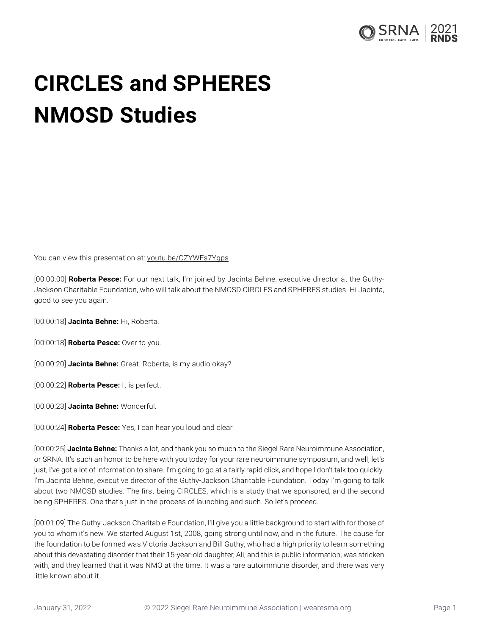

## **CIRCLES and SPHERES NMOSD Studies**

You can view this presentation at: [youtu.be/OZYWFs7Ygps](https://youtu.be/OZYWFs7Ygps)

[00:00:00] **Roberta Pesce:** For our next talk, I'm joined by Jacinta Behne, executive director at the Guthy-Jackson Charitable Foundation, who will talk about the NMOSD CIRCLES and SPHERES studies. Hi Jacinta, good to see you again.

[00:00:18] **Jacinta Behne:** Hi, Roberta.

[00:00:18] **Roberta Pesce:** Over to you.

[00:00:20] **Jacinta Behne:** Great. Roberta, is my audio okay?

[00:00:22] **Roberta Pesce:** It is perfect.

[00:00:23] **Jacinta Behne:** Wonderful.

[00:00:24] **Roberta Pesce:** Yes, I can hear you loud and clear.

[00:00:25] **Jacinta Behne:** Thanks a lot, and thank you so much to the Siegel Rare Neuroimmune Association, or SRNA. It's such an honor to be here with you today for your rare neuroimmune symposium, and well, let's just, I've got a lot of information to share. I'm going to go at a fairly rapid click, and hope I don't talk too quickly. I'm Jacinta Behne, executive director of the Guthy-Jackson Charitable Foundation. Today I'm going to talk about two NMOSD studies. The first being CIRCLES, which is a study that we sponsored, and the second being SPHERES. One that's just in the process of launching and such. So let's proceed.

[00:01:09] The Guthy-Jackson Charitable Foundation, I'll give you a little background to start with for those of you to whom it's new. We started August 1st, 2008, going strong until now, and in the future. The cause for the foundation to be formed was Victoria Jackson and Bill Guthy, who had a high priority to learn something about this devastating disorder that their 15-year-old daughter, Ali, and this is public information, was stricken with, and they learned that it was NMO at the time. It was a rare autoimmune disorder, and there was very little known about it.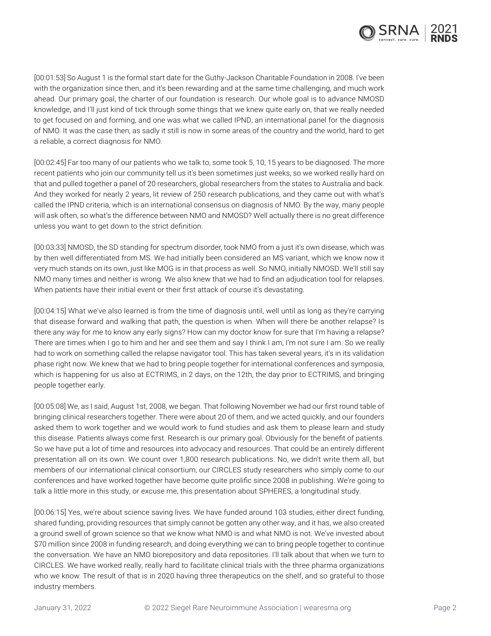

[00:01:53] So August 1 is the formal start date for the Guthy-Jackson Charitable Foundation in 2008. I've been with the organization since then, and it's been rewarding and at the same time challenging, and much work ahead. Our primary goal, the charter of our foundation is research. Our whole goal is to advance NMOSD knowledge, and I'll just kind of tick through some things that we knew quite early on, that we really needed to get focused on and forming, and one was what we called IPND, an international panel for the diagnosis of NMO. It was the case then, as sadly it still is now in some areas of the country and the world, hard to get a reliable, a correct diagnosis for NMO.

[00:02:45] Far too many of our patients who we talk to, some took 5, 10, 15 years to be diagnosed. The more recent patients who join our community tell us it's been sometimes just weeks, so we worked really hard on that and pulled together a panel of 20 researchers, global researchers from the states to Australia and back. And they worked for nearly 2 years, lit review of 250 research publications, and they came out with what's called the IPND criteria, which is an international consensus on diagnosis of NMO. By the way, many people will ask often, so what's the difference between NMO and NMOSD? Well actually there is no great difference unless you want to get down to the strict definition.

[00:03:33] NMOSD, the SD standing for spectrum disorder, took NMO from a just it's own disease, which was by then well differentiated from MS. We had initially been considered an MS variant, which we know now it very much stands on its own, just like MOG is in that process as well. So NMO, initially NMOSD. We'll still say NMO many times and neither is wrong. We also knew that we had to find an adjudication tool for relapses. When patients have their initial event or their first attack of course it's devastating.

[00:04:15] What we've also learned is from the time of diagnosis until, well until as long as they're carrying that disease forward and walking that path, the question is when. When will there be another relapse? Is there any way for me to know any early signs? How can my doctor know for sure that I'm having a relapse? There are times when I go to him and her and see them and say I think I am, I'm not sure I am. So we really had to work on something called the relapse navigator tool. This has taken several years, it's in its validation phase right now. We knew that we had to bring people together for international conferences and symposia, which is happening for us also at ECTRIMS, in 2 days, on the 12th, the day prior to ECTRIMS, and bringing people together early.

[00:05:08] We, as I said, August 1st, 2008, we began. That following November we had our first round table of bringing clinical researchers together. There were about 20 of them, and we acted quickly, and our founders asked them to work together and we would work to fund studies and ask them to please learn and study this disease. Patients always come first. Research is our primary goal. Obviously for the benefit of patients. So we have put a lot of time and resources into advocacy and resources. That could be an entirely different presentation all on its own. We count over 1,800 research publications. No, we didn't write them all, but members of our international clinical consortium, our CIRCLES study researchers who simply come to our conferences and have worked together have become quite prolific since 2008 in publishing. We're going to talk a little more in this study, or excuse me, this presentation about SPHERES, a longitudinal study.

[00:06:15] Yes, we're about science saving lives. We have funded around 103 studies, either direct funding, shared funding, providing resources that simply cannot be gotten any other way, and it has, we also created a ground swell of grown science so that we know what NMO is and what NMO is not. We've invested about \$70 million since 2008 in funding research, and doing everything we can to bring people together to continue the conversation. We have an NMO biorepository and data repositories. I'll talk about that when we turn to CIRCLES. We have worked really, really hard to facilitate clinical trials with the three pharma organizations who we know. The result of that is in 2020 having three therapeutics on the shelf, and so grateful to those industry members.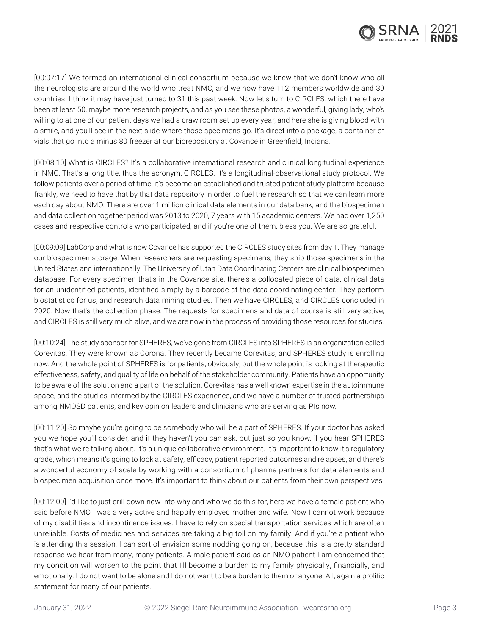

[00:07:17] We formed an international clinical consortium because we knew that we don't know who all the neurologists are around the world who treat NMO, and we now have 112 members worldwide and 30 countries. I think it may have just turned to 31 this past week. Now let's turn to CIRCLES, which there have been at least 50, maybe more research projects, and as you see these photos, a wonderful, giving lady, who's willing to at one of our patient days we had a draw room set up every year, and here she is giving blood with a smile, and you'll see in the next slide where those specimens go. It's direct into a package, a container of vials that go into a minus 80 freezer at our biorepository at Covance in Greenfield, Indiana.

[00:08:10] What is CIRCLES? It's a collaborative international research and clinical longitudinal experience in NMO. That's a long title, thus the acronym, CIRCLES. It's a longitudinal-observational study protocol. We follow patients over a period of time, it's become an established and trusted patient study platform because frankly, we need to have that by that data repository in order to fuel the research so that we can learn more each day about NMO. There are over 1 million clinical data elements in our data bank, and the biospecimen and data collection together period was 2013 to 2020, 7 years with 15 academic centers. We had over 1,250 cases and respective controls who participated, and if you're one of them, bless you. We are so grateful.

[00:09:09] LabCorp and what is now Covance has supported the CIRCLES study sites from day 1. They manage our biospecimen storage. When researchers are requesting specimens, they ship those specimens in the United States and internationally. The University of Utah Data Coordinating Centers are clinical biospecimen database. For every specimen that's in the Covance site, there's a collocated piece of data, clinical data for an unidentified patients, identified simply by a barcode at the data coordinating center. They perform biostatistics for us, and research data mining studies. Then we have CIRCLES, and CIRCLES concluded in 2020. Now that's the collection phase. The requests for specimens and data of course is still very active, and CIRCLES is still very much alive, and we are now in the process of providing those resources for studies.

[00:10:24] The study sponsor for SPHERES, we've gone from CIRCLES into SPHERES is an organization called Corevitas. They were known as Corona. They recently became Corevitas, and SPHERES study is enrolling now. And the whole point of SPHERES is for patients, obviously, but the whole point is looking at therapeutic effectiveness, safety, and quality of life on behalf of the stakeholder community. Patients have an opportunity to be aware of the solution and a part of the solution. Corevitas has a well known expertise in the autoimmune space, and the studies informed by the CIRCLES experience, and we have a number of trusted partnerships among NMOSD patients, and key opinion leaders and clinicians who are serving as PIs now.

[00:11:20] So maybe you're going to be somebody who will be a part of SPHERES. If your doctor has asked you we hope you'll consider, and if they haven't you can ask, but just so you know, if you hear SPHERES that's what we're talking about. It's a unique collaborative environment. It's important to know it's regulatory grade, which means it's going to look at safety, efficacy, patient reported outcomes and relapses, and there's a wonderful economy of scale by working with a consortium of pharma partners for data elements and biospecimen acquisition once more. It's important to think about our patients from their own perspectives.

[00:12:00] I'd like to just drill down now into why and who we do this for, here we have a female patient who said before NMO I was a very active and happily employed mother and wife. Now I cannot work because of my disabilities and incontinence issues. I have to rely on special transportation services which are often unreliable. Costs of medicines and services are taking a big toll on my family. And if you're a patient who is attending this session, I can sort of envision some nodding going on, because this is a pretty standard response we hear from many, many patients. A male patient said as an NMO patient I am concerned that my condition will worsen to the point that I'll become a burden to my family physically, financially, and emotionally. I do not want to be alone and I do not want to be a burden to them or anyone. All, again a prolific statement for many of our patients.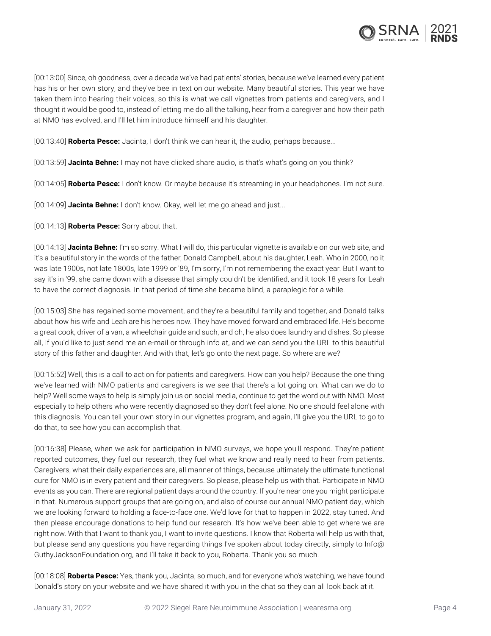

[00:13:00] Since, oh goodness, over a decade we've had patients' stories, because we've learned every patient has his or her own story, and they've bee in text on our website. Many beautiful stories. This year we have taken them into hearing their voices, so this is what we call vignettes from patients and caregivers, and I thought it would be good to, instead of letting me do all the talking, hear from a caregiver and how their path at NMO has evolved, and I'll let him introduce himself and his daughter.

[00:13:40] **Roberta Pesce:** Jacinta, I don't think we can hear it, the audio, perhaps because...

[00:13:59] **Jacinta Behne:** I may not have clicked share audio, is that's what's going on you think?

[00:14:05] **Roberta Pesce:** I don't know. Or maybe because it's streaming in your headphones. I'm not sure.

[00:14:09] **Jacinta Behne:** I don't know. Okay, well let me go ahead and just...

[00:14:13] **Roberta Pesce:** Sorry about that.

[00:14:13] **Jacinta Behne:** I'm so sorry. What I will do, this particular vignette is available on our web site, and it's a beautiful story in the words of the father, Donald Campbell, about his daughter, Leah. Who in 2000, no it was late 1900s, not late 1800s, late 1999 or '89, I'm sorry, I'm not remembering the exact year. But I want to say it's in '99, she came down with a disease that simply couldn't be identified, and it took 18 years for Leah to have the correct diagnosis. In that period of time she became blind, a paraplegic for a while.

[00:15:03] She has regained some movement, and they're a beautiful family and together, and Donald talks about how his wife and Leah are his heroes now. They have moved forward and embraced life. He's become a great cook, driver of a van, a wheelchair guide and such, and oh, he also does laundry and dishes. So please all, if you'd like to just send me an e-mail or through info at, and we can send you the URL to this beautiful story of this father and daughter. And with that, let's go onto the next page. So where are we?

[00:15:52] Well, this is a call to action for patients and caregivers. How can you help? Because the one thing we've learned with NMO patients and caregivers is we see that there's a lot going on. What can we do to help? Well some ways to help is simply join us on social media, continue to get the word out with NMO. Most especially to help others who were recently diagnosed so they don't feel alone. No one should feel alone with this diagnosis. You can tell your own story in our vignettes program, and again, I'll give you the URL to go to do that, to see how you can accomplish that.

[00:16:38] Please, when we ask for participation in NMO surveys, we hope you'll respond. They're patient reported outcomes, they fuel our research, they fuel what we know and really need to hear from patients. Caregivers, what their daily experiences are, all manner of things, because ultimately the ultimate functional cure for NMO is in every patient and their caregivers. So please, please help us with that. Participate in NMO events as you can. There are regional patient days around the country. If you're near one you might participate in that. Numerous support groups that are going on, and also of course our annual NMO patient day, which we are looking forward to holding a face-to-face one. We'd love for that to happen in 2022, stay tuned. And then please encourage donations to help fund our research. It's how we've been able to get where we are right now. With that I want to thank you, I want to invite questions. I know that Roberta will help us with that, but please send any questions you have regarding things I've spoken about today directly, simply to Info@ GuthyJacksonFoundation.org, and I'll take it back to you, Roberta. Thank you so much.

[00:18:08] **Roberta Pesce:** Yes, thank you, Jacinta, so much, and for everyone who's watching, we have found Donald's story on your website and we have shared it with you in the chat so they can all look back at it.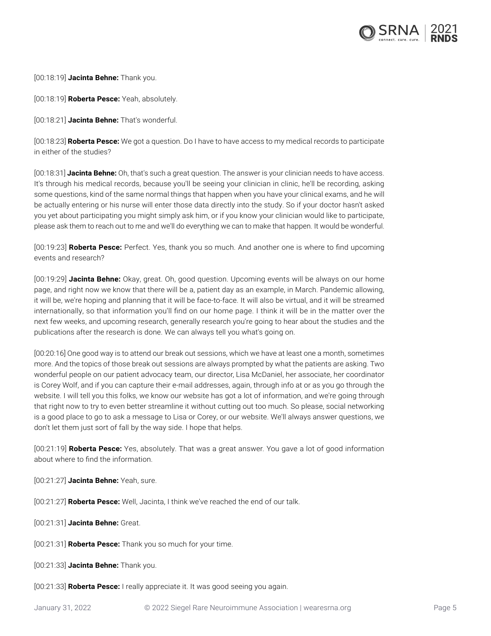

[00:18:19] **Jacinta Behne:** Thank you.

[00:18:19] **Roberta Pesce:** Yeah, absolutely.

[00:18:21] **Jacinta Behne:** That's wonderful.

[00:18:23] **Roberta Pesce:** We got a question. Do I have to have access to my medical records to participate in either of the studies?

[00:18:31] **Jacinta Behne:** Oh, that's such a great question. The answer is your clinician needs to have access. It's through his medical records, because you'll be seeing your clinician in clinic, he'll be recording, asking some questions, kind of the same normal things that happen when you have your clinical exams, and he will be actually entering or his nurse will enter those data directly into the study. So if your doctor hasn't asked you yet about participating you might simply ask him, or if you know your clinician would like to participate, please ask them to reach out to me and we'll do everything we can to make that happen. It would be wonderful.

[00:19:23] **Roberta Pesce:** Perfect. Yes, thank you so much. And another one is where to find upcoming events and research?

[00:19:29] **Jacinta Behne:** Okay, great. Oh, good question. Upcoming events will be always on our home page, and right now we know that there will be a, patient day as an example, in March. Pandemic allowing, it will be, we're hoping and planning that it will be face-to-face. It will also be virtual, and it will be streamed internationally, so that information you'll find on our home page. I think it will be in the matter over the next few weeks, and upcoming research, generally research you're going to hear about the studies and the publications after the research is done. We can always tell you what's going on.

[00:20:16] One good way is to attend our break out sessions, which we have at least one a month, sometimes more. And the topics of those break out sessions are always prompted by what the patients are asking. Two wonderful people on our patient advocacy team, our director, Lisa McDaniel, her associate, her coordinator is Corey Wolf, and if you can capture their e-mail addresses, again, through info at or as you go through the website. I will tell you this folks, we know our website has got a lot of information, and we're going through that right now to try to even better streamline it without cutting out too much. So please, social networking is a good place to go to ask a message to Lisa or Corey, or our website. We'll always answer questions, we don't let them just sort of fall by the way side. I hope that helps.

[00:21:19] **Roberta Pesce:** Yes, absolutely. That was a great answer. You gave a lot of good information about where to find the information.

[00:21:27] **Jacinta Behne:** Yeah, sure.

[00:21:27] **Roberta Pesce:** Well, Jacinta, I think we've reached the end of our talk.

[00:21:31] **Jacinta Behne:** Great.

[00:21:31] **Roberta Pesce:** Thank you so much for your time.

[00:21:33] **Jacinta Behne:** Thank you.

[00:21:33] **Roberta Pesce:** I really appreciate it. It was good seeing you again.